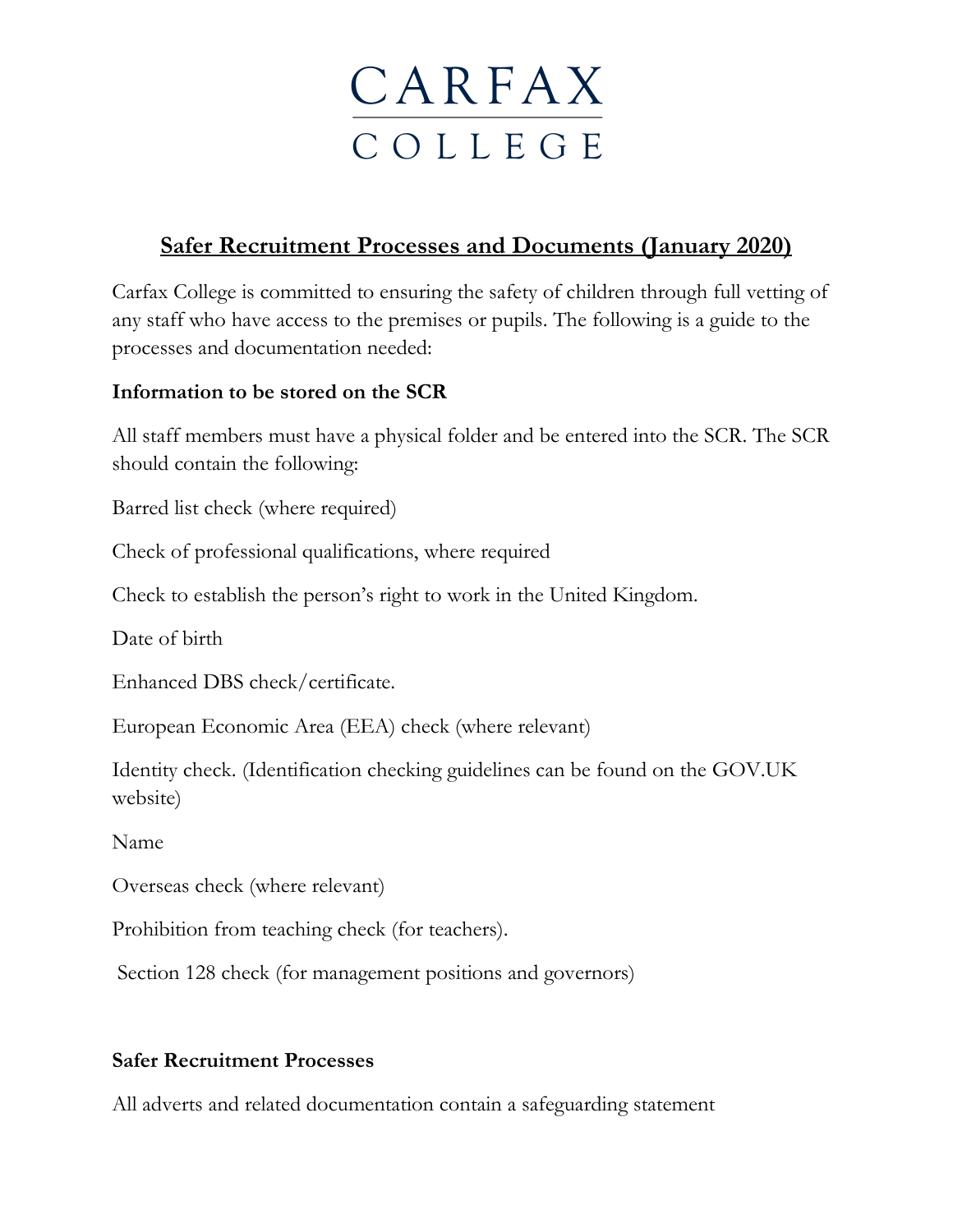## **CARFAX** C O L L E G E

### **Safer Recruitment Processes and Documents (January 2020)**

Carfax College is committed to ensuring the safety of children through full vetting of any staff who have access to the premises or pupils. The following is a guide to the processes and documentation needed:

#### **Information to be stored on the SCR**

All staff members must have a physical folder and be entered into the SCR. The SCR should contain the following:

Barred list check (where required)

Check of professional qualifications, where required

Check to establish the person's right to work in the United Kingdom.

Date of birth

Enhanced DBS check/certificate.

European Economic Area (EEA) check (where relevant)

Identity check. (Identification checking guidelines can be found on the GOV.UK website)

Name

Overseas check (where relevant)

Prohibition from teaching check (for teachers).

Section 128 check (for management positions and governors)

#### **Safer Recruitment Processes**

All adverts and related documentation contain a safeguarding statement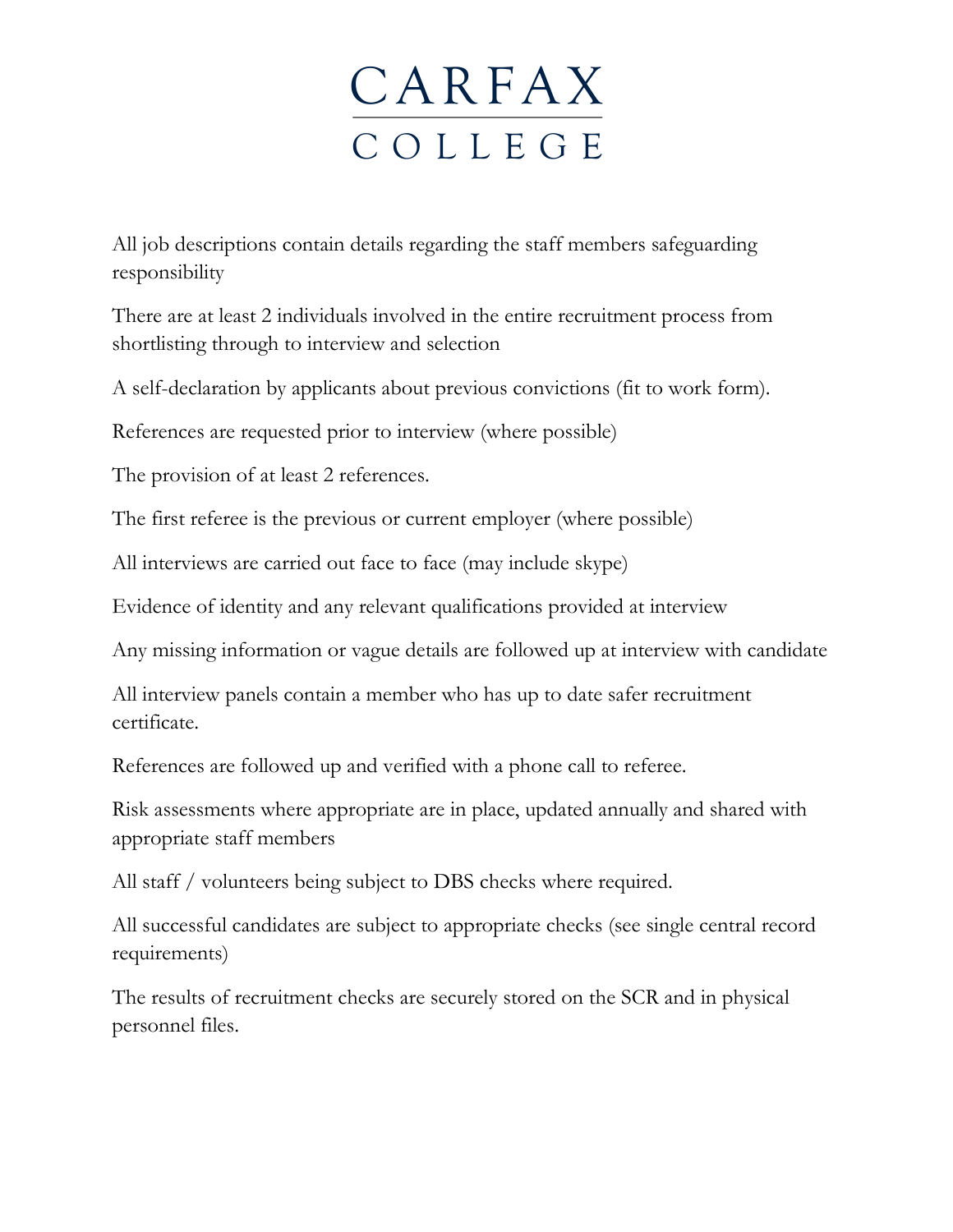## **CARFAX** C O L L E G E

All job descriptions contain details regarding the staff members safeguarding responsibility

There are at least 2 individuals involved in the entire recruitment process from shortlisting through to interview and selection

A self-declaration by applicants about previous convictions (fit to work form).

References are requested prior to interview (where possible)

The provision of at least 2 references.

The first referee is the previous or current employer (where possible)

All interviews are carried out face to face (may include skype)

Evidence of identity and any relevant qualifications provided at interview

Any missing information or vague details are followed up at interview with candidate

All interview panels contain a member who has up to date safer recruitment certificate.

References are followed up and verified with a phone call to referee.

Risk assessments where appropriate are in place, updated annually and shared with appropriate staff members

All staff / volunteers being subject to DBS checks where required.

All successful candidates are subject to appropriate checks (see single central record requirements)

The results of recruitment checks are securely stored on the SCR and in physical personnel files.